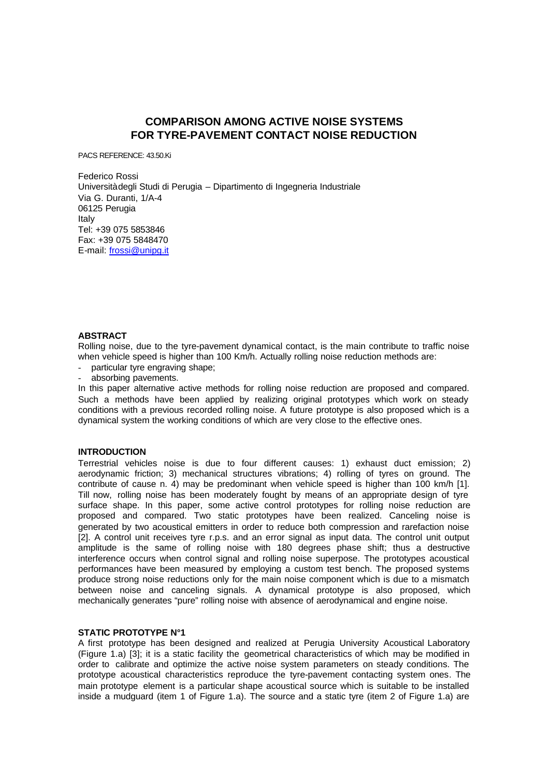# **COMPARISON AMONG ACTIVE NOISE SYSTEMS FOR TYRE-PAVEMENT CONTACT NOISE REDUCTION**

PACS REFERENCE: 43.50.Ki

Federico Rossi Università degli Studi di Perugia – Dipartimento di Ingegneria Industriale Via G. Duranti, 1/A-4 06125 Perugia Italy Tel: +39 075 5853846 Fax: +39 075 5848470 E-mail: frossi@unipg.it

### **ABSTRACT**

Rolling noise, due to the tyre-pavement dynamical contact, is the main contribute to traffic noise when vehicle speed is higher than 100 Km/h. Actually rolling noise reduction methods are:

- particular tyre engraving shape;
- absorbing pavements.

In this paper alternative active methods for rolling noise reduction are proposed and compared. Such a methods have been applied by realizing original prototypes which work on steady conditions with a previous recorded rolling noise. A future prototype is also proposed which is a dynamical system the working conditions of which are very close to the effective ones.

#### **INTRODUCTION**

Terrestrial vehicles noise is due to four different causes: 1) exhaust duct emission; 2) aerodynamic friction; 3) mechanical structures vibrations; 4) rolling of tyres on ground. The contribute of cause n. 4) may be predominant when vehicle speed is higher than 100 km/h [1]. Till now, rolling noise has been moderately fought by means of an appropriate design of tyre surface shape. In this paper, some active control prototypes for rolling noise reduction are proposed and compared. Two static prototypes have been realized. Canceling noise is generated by two acoustical emitters in order to reduce both compression and rarefaction noise [2]. A control unit receives tyre r.p.s. and an error signal as input data. The control unit output amplitude is the same of rolling noise with 180 degrees phase shift; thus a destructive interference occurs when control signal and rolling noise superpose. The prototypes acoustical performances have been measured by employing a custom test bench. The proposed systems produce strong noise reductions only for the main noise component which is due to a mismatch between noise and canceling signals. A dynamical prototype is also proposed, which mechanically generates "pure" rolling noise with absence of aerodynamical and engine noise.

# **STATIC PROTOTYPE N°1**

A first prototype has been designed and realized at Perugia University Acoustical Laboratory (Figure 1.a) [3]; it is a static facility the geometrical characteristics of which may be modified in order to calibrate and optimize the active noise system parameters on steady conditions. The prototype acoustical characteristics reproduce the tyre-pavement contacting system ones. The main prototype element is a particular shape acoustical source which is suitable to be installed inside a mudguard (item 1 of Figure 1.a). The source and a static tyre (item 2 of Figure 1.a) are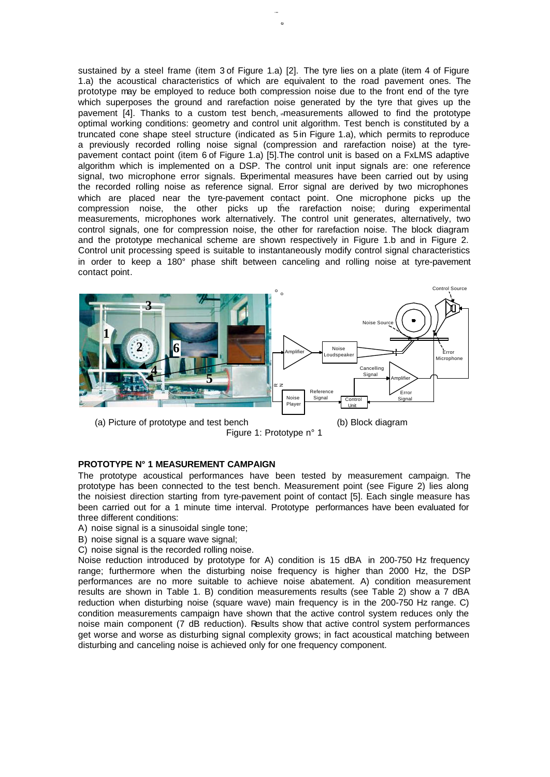sustained by a steel frame (item 3 of Figure 1.a) [2]. The tyre lies on a plate (item 4 of Figure 1.a) the acoustical characteristics of which are equivalent to the road pavement ones. The prototype may be employed to reduce both compression noise due to the front end of the tyre which superposes the ground and rarefaction noise generated by the tyre that gives up the pavement [4]. Thanks to a custom test bench, measurements allowed to find the prototype optimal working conditions: geometry and control unit algorithm. Test bench is constituted by a truncated cone shape steel structure (indicated as 5 in Figure 1.a), which permits to reproduce a previously recorded rolling noise signal (compression and rarefaction noise) at the tyrepavement contact point (item 6 of Figure 1.a) [5].The control unit is based on a FxLMS adaptive algorithm which is implemented on a DSP. The control unit input signals are: one reference signal, two microphone error signals. Experimental measures have been carried out by using the recorded rolling noise as reference signal. Error signal are derived by two microphones which are placed near the tyre-pavement contact point. One microphone picks up the compression noise, the other picks up the rarefaction noise; during experimental measurements, microphones work alternatively. The control unit generates, alternatively, two control signals, one for compression noise, the other for rarefaction noise. The block diagram and the prototype mechanical scheme are shown respectively in Figure 1.b and in Figure 2. Control unit processing speed is suitable to instantaneously modify control signal characteristics in order to keep a 180° phase shift between canceling and rolling noise at tyre-pavement contact point. Rolling Noise



Figure 1: Prototype n° 1

# **PROTOTYPE N° 1 MEASUREMENT CAMPAIGN**

The prototype acoustical performances have been tested by measurement campaign. The prototype has been connected to the test bench. Measurement point (see Figure 2) lies along the noisiest direction starting from tyre-pavement point of contact [5]. Each single measure has been carried out for a 1 minute time interval. Prototype performances have been evaluated for three different conditions:

- A) noise signal is a sinusoidal single tone;
- B) noise signal is a square wave signal;
- C) noise signal is the recorded rolling noise.

Noise reduction introduced by prototype for A) condition is 15 dBA in 200-750 Hz frequency range; furthermore when the disturbing noise frequency is higher than 2000 Hz, the DSP performances are no more suitable to achieve noise abatement. A) condition measurement results are shown in Table 1. B) condition measurements results (see Table 2) show a 7 dBA reduction when disturbing noise (square wave) main frequency is in the 200-750 Hz range. C) condition measurements campaign have shown that the active control system reduces only the noise main component (7 dB reduction). Results show that active control system performances get worse and worse as disturbing signal complexity grows; in fact acoustical matching between disturbing and canceling noise is achieved only for one frequency component.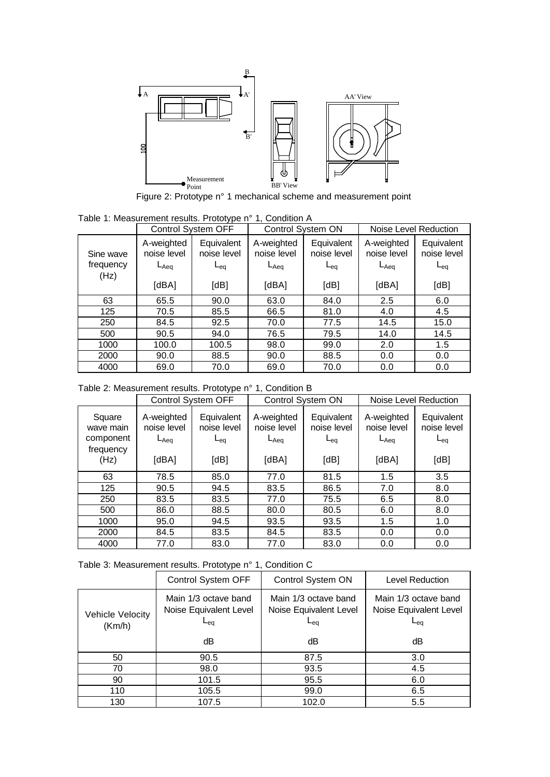

Figure 2: Prototype n° 1 mechanical scheme and measurement point

| Table 1: Measurement results. Prototype n° 1, Condition A |  |  |
|-----------------------------------------------------------|--|--|
|-----------------------------------------------------------|--|--|

| Control System OFF             |                                                 | Control System ON                             |                                                 | Noise Level Reduction                         |                                                 |                                               |
|--------------------------------|-------------------------------------------------|-----------------------------------------------|-------------------------------------------------|-----------------------------------------------|-------------------------------------------------|-----------------------------------------------|
| Sine wave<br>frequency<br>(Hz) | A-weighted<br>noise level<br>$L_{Aeq}$<br>[dBA] | Equivalent<br>noise level<br>$L_{eq}$<br>[dB] | A-weighted<br>noise level<br>$L_{Aeq}$<br>[dBA] | Equivalent<br>noise level<br>$L_{eq}$<br>[dB] | A-weighted<br>noise level<br>$L_{Aeq}$<br>[dBA] | Equivalent<br>noise level<br>$L_{eq}$<br>[dB] |
| 63                             | 65.5                                            | 90.0                                          | 63.0                                            | 84.0                                          | 2.5                                             | 6.0                                           |
| 125                            | 70.5                                            | 85.5                                          | 66.5                                            | 81.0                                          | 4.0                                             | 4.5                                           |
| 250                            | 84.5                                            | 92.5                                          | 70.0                                            | 77.5                                          | 14.5                                            | 15.0                                          |
| 500                            | 90.5                                            | 94.0                                          | 76.5                                            | 79.5                                          | 14.0                                            | 14.5                                          |
| 1000                           | 100.0                                           | 100.5                                         | 98.0                                            | 99.0                                          | 2.0                                             | 1.5                                           |
| 2000                           | 90.0                                            | 88.5                                          | 90.0                                            | 88.5                                          | 0.0                                             | 0.0                                           |
| 4000                           | 69.0                                            | 70.0                                          | 69.0                                            | 70.0                                          | 0.0                                             | 0.0                                           |

Table 2: Measurement results. Prototype n° 1, Condition B

|                                                       |                                                 | <b>Control System OFF</b><br>Control System ON |                                                 | Noise Level Reduction                         |                                                 |                                               |
|-------------------------------------------------------|-------------------------------------------------|------------------------------------------------|-------------------------------------------------|-----------------------------------------------|-------------------------------------------------|-----------------------------------------------|
| Square<br>wave main<br>component<br>frequency<br>(Hz) | A-weighted<br>noise level<br>$L_{Aeq}$<br>[dBA] | Equivalent<br>noise level<br>$L_{eq}$<br>[dB]  | A-weighted<br>noise level<br>$L_{Aeq}$<br>[dBA] | Equivalent<br>noise level<br>$L_{eq}$<br>[dB] | A-weighted<br>noise level<br>$L_{Aeq}$<br>[dBA] | Equivalent<br>noise level<br>$L_{eq}$<br>[dB] |
| 63                                                    | 78.5                                            | 85.0                                           | 77.0                                            | 81.5                                          | 1.5                                             | 3.5                                           |
| 125                                                   | 90.5                                            | 94.5                                           | 83.5                                            | 86.5                                          | 7.0                                             | 8.0                                           |
| 250                                                   | 83.5                                            | 83.5                                           | 77.0                                            | 75.5                                          | 6.5                                             | 8.0                                           |
| 500                                                   | 86.0                                            | 88.5                                           | 80.0                                            | 80.5                                          | 6.0                                             | 8.0                                           |
| 1000                                                  | 95.0                                            | 94.5                                           | 93.5                                            | 93.5                                          | 1.5                                             | 1.0                                           |
| 2000                                                  | 84.5                                            | 83.5                                           | 84.5                                            | 83.5                                          | 0.0                                             | 0.0                                           |
| 4000                                                  | 77.0                                            | 83.0                                           | 77.0                                            | 83.0                                          | 0.0                                             | 0.0                                           |

Table 3: Measurement results. Prototype n° 1, Condition C

|                            | . .                                                                         |                                                                   |                                                                     |  |
|----------------------------|-----------------------------------------------------------------------------|-------------------------------------------------------------------|---------------------------------------------------------------------|--|
|                            | Control System OFF                                                          | Control System ON                                                 | Level Reduction                                                     |  |
| Vehicle Velocity<br>(Km/h) | Main 1/3 octave band<br>Noise Equivalent Level<br>$_{\mathsf{e}\mathsf{a}}$ | Main 1/3 octave band<br>Noise Equivalent Level<br>∟ <sub>ea</sub> | Main 1/3 octave band<br>Noise Equivalent Level<br>$L_{\mathrm{ea}}$ |  |
|                            | dВ                                                                          | dΒ                                                                | dΒ                                                                  |  |
| 50                         | 90.5                                                                        | 87.5                                                              | 3.0                                                                 |  |
| 70                         | 98.0                                                                        | 93.5                                                              | 4.5                                                                 |  |
| 90                         | 101.5                                                                       | 95.5                                                              | 6.0                                                                 |  |
| 110                        | 105.5                                                                       | 99.0                                                              | 6.5                                                                 |  |
| 130                        | 107.5                                                                       | 102.0                                                             | 5.5                                                                 |  |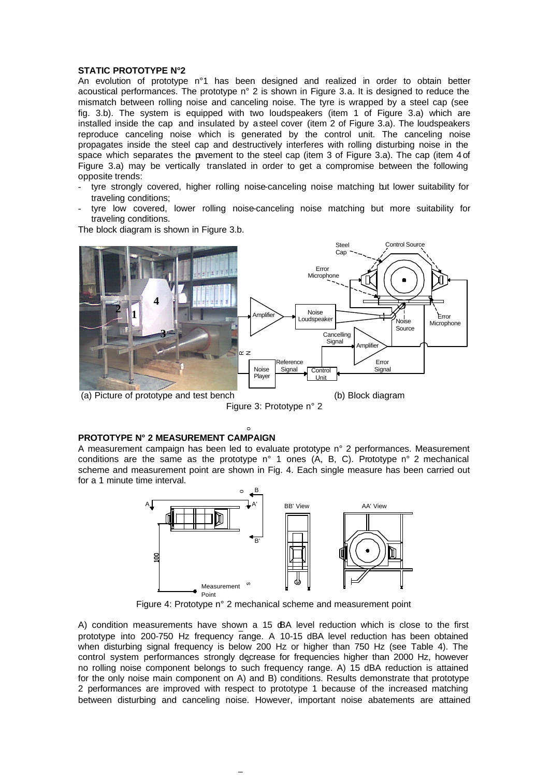#### **STATIC PROTOTYPE N°2**

An evolution of prototype n°1 has been designed and realized in order to obtain better acoustical performances. The prototype n° 2 is shown in Figure 3.a. It is designed to reduce the mismatch between rolling noise and canceling noise. The tyre is wrapped by a steel cap (see fig. 3.b). The system is equipped with two loudspeakers (item 1 of Figure 3.a) which are installed inside the cap and insulated by a steel cover (item 2 of Figure 3.a). The loudspeakers reproduce canceling noise which is generated by the control unit. The canceling noise propagates inside the steel cap and destructively interferes with rolling disturbing noise in the space which separates the pavement to the steel cap (item 3 of Figure 3.a). The cap (item 4 of Figure 3.a) may be vertically translated in order to get a compromise between the following opposite trends:

- tyre strongly covered, higher rolling noise-canceling noise matching but lower suitability for traveling conditions;
- tyre low covered, lower rolling noise-canceling noise matching but more suitability for traveling conditions.

The block diagram is shown in Figure 3.b.



Figure 3: Prototype n° 2

# **PROTOTYPE N° 2 MEASUREMENT CAMPAIGN**

A measurement campaign has been led to evaluate prototype n° 2 performances. Measurement conditions are the same as the prototype n° 1 ones (A, B, C). Prototype n° 2 mechanical scheme and measurement point are shown in Fig. 4. Each single measure has been carried out for a 1 minute time interval.



Figure 4: Prototype n° 2 mechanical scheme and measurement point

A) condition measurements have shown a 15 dBA level reduction which is close to the first prototype into 200-750 Hz frequency range. A 10-15 dBA level reduction has been obtained when disturbing signal frequency is below 200 Hz or higher than 750 Hz (see Table 4). The control system performances strongly decrease for frequencies higher than 2000 Hz, however no rolling noise component belongs to such frequency range. A) 15 dBA reduction is attained for the only noise main component on A) and B) conditions. Results demonstrate that prototype 2 performances are improved with respect to prototype 1 because of the increased matching between disturbing and canceling noise. However, important noise abatements are attained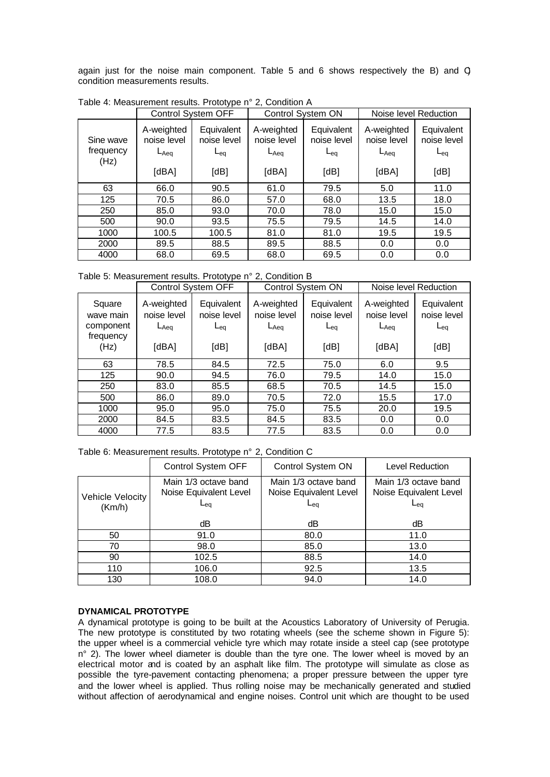again just for the noise main component. Table 5 and 6 shows respectively the B) and C) condition measurements results.

|                                |                                                 | Control System OFF                            |                                                 | Control System ON                             | Noise level Reduction                           |                                               |
|--------------------------------|-------------------------------------------------|-----------------------------------------------|-------------------------------------------------|-----------------------------------------------|-------------------------------------------------|-----------------------------------------------|
| Sine wave<br>frequency<br>(Hz) | A-weighted<br>noise level<br>$L_{Aeq}$<br>[dBA] | Equivalent<br>noise level<br>$L_{eq}$<br>[dB] | A-weighted<br>noise level<br>$L_{Aeq}$<br>[dBA] | Equivalent<br>noise level<br>$L_{eq}$<br>[dB] | A-weighted<br>noise level<br>$L_{Aeq}$<br>[dBA] | Equivalent<br>noise level<br>$L_{eq}$<br>[dB] |
| 63                             | 66.0                                            | 90.5                                          | 61.0                                            | 79.5                                          | 5.0                                             | 11.0                                          |
| 125                            | 70.5                                            | 86.0                                          | 57.0                                            | 68.0                                          | 13.5                                            | 18.0                                          |
| 250                            | 85.0                                            | 93.0                                          | 70.0                                            | 78.0                                          | 15.0                                            | 15.0                                          |
| 500                            | 90.0                                            | 93.5                                          | 75.5                                            | 79.5                                          | 14.5                                            | 14.0                                          |
| 1000                           | 100.5                                           | 100.5                                         | 81.0                                            | 81.0                                          | 19.5                                            | 19.5                                          |
| 2000                           | 89.5                                            | 88.5                                          | 89.5                                            | 88.5                                          | 0.0                                             | 0.0                                           |
| 4000                           | 68.0                                            | 69.5                                          | 68.0                                            | 69.5                                          | 0.0                                             | 0.0                                           |

Table 4: Measurement results. Prototype n° 2, Condition A

Table 5: Measurement results. Prototype n° 2, Condition B

|                                                       |                                                 | Control System OFF                                   | Control System ON                               |                                               | Noise level Reduction                           |                                                      |
|-------------------------------------------------------|-------------------------------------------------|------------------------------------------------------|-------------------------------------------------|-----------------------------------------------|-------------------------------------------------|------------------------------------------------------|
| Square<br>wave main<br>component<br>frequency<br>(Hz) | A-weighted<br>noise level<br>$L_{Aeq}$<br>[dBA] | Equivalent<br>noise level<br>$L_{\text{eq}}$<br>[dB] | A-weighted<br>noise level<br>$L_{Aeq}$<br>[dBA] | Equivalent<br>noise level<br>$L_{eq}$<br>[dB] | A-weighted<br>noise level<br>$L_{Aeq}$<br>[dBA] | Equivalent<br>noise level<br>$L_{\text{eq}}$<br>[dB] |
| 63                                                    | 78.5                                            | 84.5                                                 | 72.5                                            | 75.0                                          | 6.0                                             | 9.5                                                  |
| 125                                                   | 90.0                                            | 94.5                                                 | 76.0                                            | 79.5                                          | 14.0                                            | 15.0                                                 |
| 250                                                   | 83.0                                            | 85.5                                                 | 68.5                                            | 70.5                                          | 14.5                                            | 15.0                                                 |
| 500                                                   | 86.0                                            | 89.0                                                 | 70.5                                            | 72.0                                          | 15.5                                            | 17.0                                                 |
| 1000                                                  | 95.0                                            | 95.0                                                 | 75.0                                            | 75.5                                          | 20.0                                            | 19.5                                                 |
| 2000                                                  | 84.5                                            | 83.5                                                 | 84.5                                            | 83.5                                          | 0.0                                             | 0.0                                                  |
| 4000                                                  | 77.5                                            | 83.5                                                 | 77.5                                            | 83.5                                          | 0.0                                             | 0.0                                                  |

Table 6: Measurement results. Prototype n° 2, Condition C

|                            | Control System OFF                                    | Control System ON                                                 | Level Reduction                                                             |
|----------------------------|-------------------------------------------------------|-------------------------------------------------------------------|-----------------------------------------------------------------------------|
| Vehicle Velocity<br>(Km/h) | Main 1/3 octave band<br>Noise Equivalent Level<br>∟eα | Main 1/3 octave band<br>Noise Equivalent Level<br>∟ <sub>ea</sub> | Main 1/3 octave band<br>Noise Equivalent Level<br>$_{\mathsf{e}\mathsf{a}}$ |
|                            | dΒ                                                    | dΒ                                                                | dΒ                                                                          |
| 50                         | 91.0                                                  | 80.0                                                              | 11.0                                                                        |
| 70                         | 98.0                                                  | 85.0                                                              | 13.0                                                                        |
| 90                         | 102.5                                                 | 88.5                                                              | 14.0                                                                        |
| 110                        | 106.0                                                 | 92.5                                                              | 13.5                                                                        |
| 130                        | 108.0                                                 | 94.0                                                              | 14.0                                                                        |

# **DYNAMICAL PROTOTYPE**

A dynamical prototype is going to be built at the Acoustics Laboratory of University of Perugia. The new prototype is constituted by two rotating wheels (see the scheme shown in Figure 5): the upper wheel is a commercial vehicle tyre which may rotate inside a steel cap (see prototype n° 2). The lower wheel diameter is double than the tyre one. The lower wheel is moved by an electrical motor and is coated by an asphalt like film. The prototype will simulate as close as possible the tyre-pavement contacting phenomena; a proper pressure between the upper tyre and the lower wheel is applied. Thus rolling noise may be mechanically generated and studied without affection of aerodynamical and engine noises. Control unit which are thought to be used